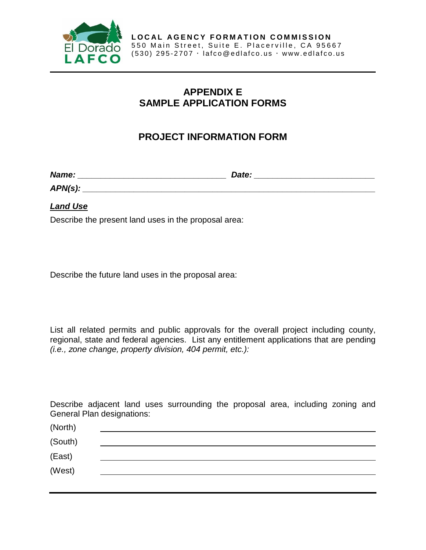

## **APPENDIX E SAMPLE APPLICATION FORMS**

## **PROJECT INFORMATION FORM**

*Name: \_\_\_\_\_\_\_\_\_\_\_\_\_\_\_\_\_\_\_\_\_\_\_\_\_\_\_\_\_\_\_\_ Date: \_\_\_\_\_\_\_\_\_\_\_\_\_\_\_\_\_\_\_\_\_\_\_\_\_\_*

*APN(s): \_\_\_\_\_\_\_\_\_\_\_\_\_\_\_\_\_\_\_\_\_\_\_\_\_\_\_\_\_\_\_\_\_\_\_\_\_\_\_\_\_\_\_\_\_\_\_\_\_\_\_\_\_\_\_\_\_\_\_\_\_\_\_*

*Land Use*

Describe the present land uses in the proposal area:

Describe the future land uses in the proposal area:

List all related permits and public approvals for the overall project including county, regional, state and federal agencies. List any entitlement applications that are pending *(i.e., zone change, property division, 404 permit, etc.):*

Describe adjacent land uses surrounding the proposal area, including zoning and General Plan designations:

| (North) |  |  |  |
|---------|--|--|--|
| (South) |  |  |  |
| (East)  |  |  |  |
| (West)  |  |  |  |
|         |  |  |  |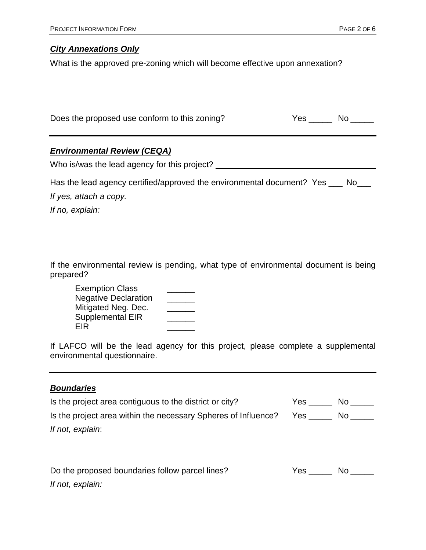### *City Annexations Only*

What is the approved pre-zoning which will become effective upon annexation?

| Does the proposed use conform to this zoning? | Yes | No. |
|-----------------------------------------------|-----|-----|
|                                               |     |     |

#### *Environmental Review (CEQA)*

Who is/was the lead agency for this project? \_\_\_\_\_\_\_\_\_\_\_\_\_\_\_\_\_\_\_\_\_\_\_\_\_\_\_\_\_\_\_\_\_\_\_

| Has the lead agency certified/approved the environmental document? Yes |  | . No No |
|------------------------------------------------------------------------|--|---------|
|------------------------------------------------------------------------|--|---------|

*If yes, attach a copy.*

*If no, explain:*

If the environmental review is pending, what type of environmental document is being prepared?

| <b>Exemption Class</b>      |  |
|-----------------------------|--|
| <b>Negative Declaration</b> |  |
| Mitigated Neg. Dec.         |  |
| <b>Supplemental EIR</b>     |  |
| EIR                         |  |

If LAFCO will be the lead agency for this project, please complete a supplemental environmental questionnaire.

## *Boundaries*

| Is the project area contiguous to the district or city?        | Yes. | No. |
|----------------------------------------------------------------|------|-----|
| Is the project area within the necessary Spheres of Influence? | Yes. | No. |
| If not, explain:                                               |      |     |

| Do the proposed boundaries follow parcel lines? | Yes. | No. |
|-------------------------------------------------|------|-----|
| If not, explain:                                |      |     |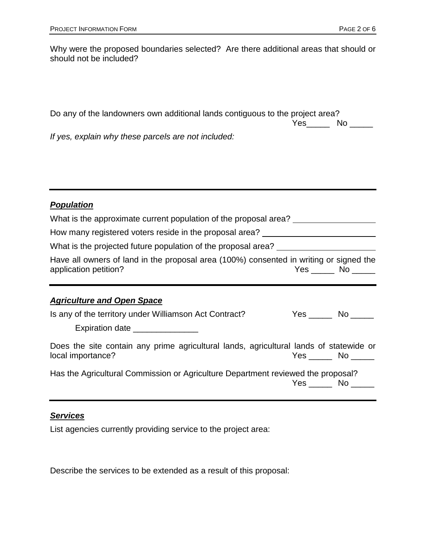| Why were the proposed boundaries selected? Are there additional areas that should or<br>should not be included? |        |  |
|-----------------------------------------------------------------------------------------------------------------|--------|--|
|                                                                                                                 |        |  |
| Do any of the landowners own additional lands contiguous to the project area?                                   | Yes No |  |
| If yes, explain why these parcels are not included:                                                             |        |  |

## *Population*

| What is the approximate current population of the proposal area?<br>How many registered voters reside in the proposal area? ________________________ |                        |  |
|------------------------------------------------------------------------------------------------------------------------------------------------------|------------------------|--|
| What is the projected future population of the proposal area?                                                                                        |                        |  |
| Have all owners of land in the proposal area (100%) consented in writing or signed the<br>application petition?                                      | Yes No                 |  |
| <b>Agriculture and Open Space</b>                                                                                                                    |                        |  |
| Is any of the territory under Williamson Act Contract?<br>Expiration date ________________                                                           | $Yes$ No $\_\_\_\_\_\$ |  |
| Does the site contain any prime agricultural lands, agricultural lands of statewide or<br>local importance?                                          | Yes No                 |  |
| Has the Agricultural Commission or Agriculture Department reviewed the proposal?                                                                     | Yes No                 |  |

## *Services*

List agencies currently providing service to the project area:

Describe the services to be extended as a result of this proposal: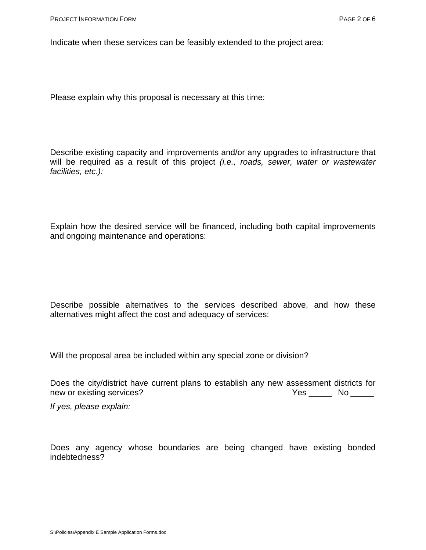Indicate when these services can be feasibly extended to the project area:

Please explain why this proposal is necessary at this time:

Describe existing capacity and improvements and/or any upgrades to infrastructure that will be required as a result of this project *(i.e., roads, sewer, water or wastewater facilities, etc.):*

Explain how the desired service will be financed, including both capital improvements and ongoing maintenance and operations:

Describe possible alternatives to the services described above, and how these alternatives might affect the cost and adequacy of services:

Will the proposal area be included within any special zone or division?

Does the city/district have current plans to establish any new assessment districts for new or existing services? The Matter of the Ves Theorem No The West Theorem No The West Theorem No The West The

*If yes, please explain:* 

Does any agency whose boundaries are being changed have existing bonded indebtedness?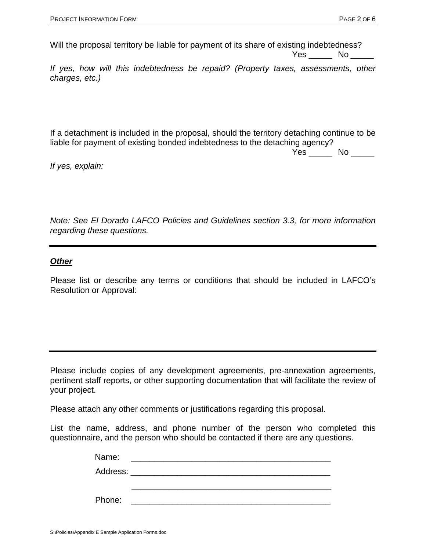Will the proposal territory be liable for payment of its share of existing indebtedness? Yes \_\_\_\_\_\_\_ No \_\_\_\_\_

*If yes, how will this indebtedness be repaid? (Property taxes, assessments, other charges, etc.)* 

If a detachment is included in the proposal, should the territory detaching continue to be liable for payment of existing bonded indebtedness to the detaching agency?

Yes \_\_\_\_\_\_ No \_\_\_\_\_

*If yes, explain:*

*Note: See El Dorado LAFCO Policies and Guidelines section 3.3, for more information regarding these questions.*

#### *Other*

Please list or describe any terms or conditions that should be included in LAFCO's Resolution or Approval:

Please include copies of any development agreements, pre-annexation agreements, pertinent staff reports, or other supporting documentation that will facilitate the review of your project.

Please attach any other comments or justifications regarding this proposal.

List the name, address, and phone number of the person who completed this questionnaire, and the person who should be contacted if there are any questions.

| Address: ________________ | Name:  |  |
|---------------------------|--------|--|
|                           |        |  |
|                           |        |  |
|                           | Phone: |  |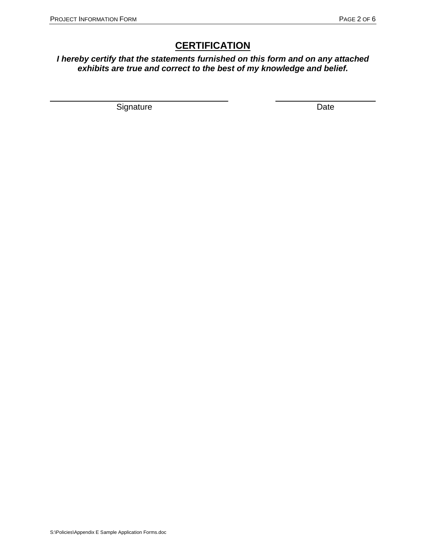# **CERTIFICATION**

*I hereby certify that the statements furnished on this form and on any attached exhibits are true and correct to the best of my knowledge and belief.*

 $\overline{\phantom{a}}$ 

Signature Date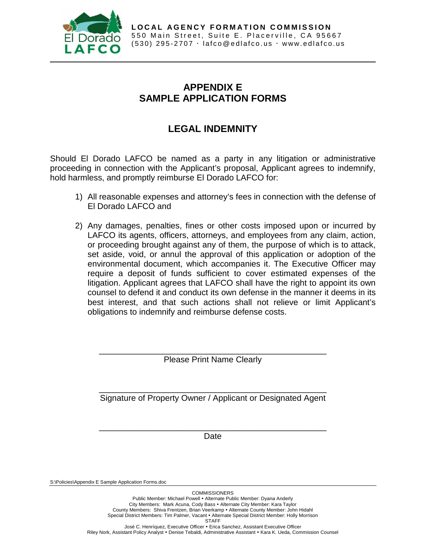

## **APPENDIX E SAMPLE APPLICATION FORMS**

# **LEGAL INDEMNITY**

Should El Dorado LAFCO be named as a party in any litigation or administrative proceeding in connection with the Applicant's proposal, Applicant agrees to indemnify, hold harmless, and promptly reimburse El Dorado LAFCO for:

- 1) All reasonable expenses and attorney's fees in connection with the defense of El Dorado LAFCO and
- 2) Any damages, penalties, fines or other costs imposed upon or incurred by LAFCO its agents, officers, attorneys, and employees from any claim, action, or proceeding brought against any of them, the purpose of which is to attack, set aside, void, or annul the approval of this application or adoption of the environmental document, which accompanies it. The Executive Officer may require a deposit of funds sufficient to cover estimated expenses of the litigation. Applicant agrees that LAFCO shall have the right to appoint its own counsel to defend it and conduct its own defense in the manner it deems in its best interest, and that such actions shall not relieve or limit Applicant's obligations to indemnify and reimburse defense costs.

\_\_\_\_\_\_\_\_\_\_\_\_\_\_\_\_\_\_\_\_\_\_\_\_\_\_\_\_\_\_\_\_\_\_\_\_\_\_\_\_\_\_\_\_\_\_\_\_\_ Please Print Name Clearly

\_\_\_\_\_\_\_\_\_\_\_\_\_\_\_\_\_\_\_\_\_\_\_\_\_\_\_\_\_\_\_\_\_\_\_\_\_\_\_\_\_\_\_\_\_\_\_\_\_ Signature of Property Owner / Applicant or Designated Agent

\_\_\_\_\_\_\_\_\_\_\_\_\_\_\_\_\_\_\_\_\_\_\_\_\_\_\_\_\_\_\_\_\_\_\_\_\_\_\_\_\_\_\_\_\_\_\_\_\_ Date

S:\Policies\Appendix E Sample Application Forms.doc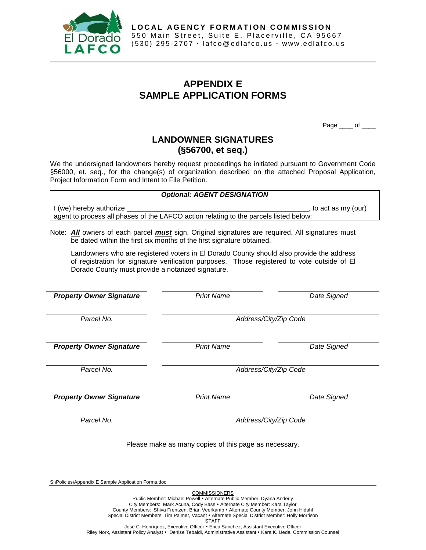

## **APPENDIX E SAMPLE APPLICATION FORMS**

Page \_\_\_\_ of \_\_

## **LANDOWNER SIGNATURES (§56700, et seq.)**

We the undersigned landowners hereby request proceedings be initiated pursuant to Government Code §56000, et. seq., for the change(s) of organization described on the attached Proposal Application, Project Information Form and Intent to File Petition.

*Optional: AGENT DESIGNATION* I (we) hereby authorize \_\_\_\_\_\_\_\_\_\_\_\_\_\_\_\_\_\_\_\_\_\_\_\_\_\_\_\_\_\_\_\_\_\_\_\_\_\_\_\_\_\_\_\_\_\_\_, to act as my (our) agent to process all phases of the LAFCO action relating to the parcels listed below:

Note: *All* owners of each parcel *must* sign. Original signatures are required. All signatures must be dated within the first six months of the first signature obtained.

Landowners who are registered voters in El Dorado County should also provide the address of registration for signature verification purposes. Those registered to vote outside of El Dorado County must provide a notarized signature.

| <b>Property Owner Signature</b> | <b>Print Name</b>                                     | Date Signed           |
|---------------------------------|-------------------------------------------------------|-----------------------|
| Parcel No.                      |                                                       | Address/City/Zip Code |
| <b>Property Owner Signature</b> | <b>Print Name</b>                                     | Date Signed           |
| Parcel No.                      |                                                       | Address/City/Zip Code |
| <b>Property Owner Signature</b> | <b>Print Name</b>                                     | Date Signed           |
| Parcel No.                      |                                                       | Address/City/Zip Code |
|                                 | Please make as many copies of this page as necessary. |                       |

S:\Policies\Appendix E Sample Application Forms.doc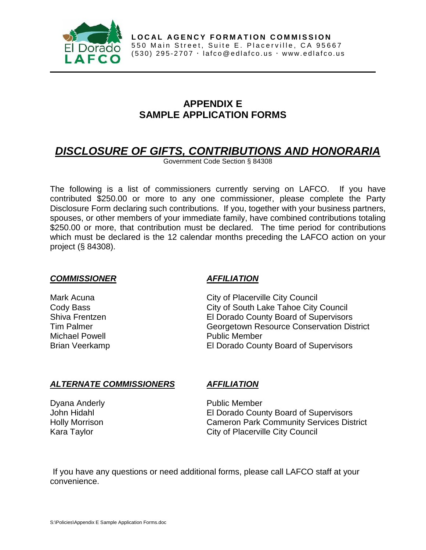

## **APPENDIX E SAMPLE APPLICATION FORMS**

# *DISCLOSURE OF GIFTS, CONTRIBUTIONS AND HONORARIA*

Government Code Section § 84308

The following is a list of commissioners currently serving on LAFCO. If you have contributed \$250.00 or more to any one commissioner, please complete the Party Disclosure Form declaring such contributions. If you, together with your business partners, spouses, or other members of your immediate family, have combined contributions totaling \$250.00 or more, that contribution must be declared. The time period for contributions which must be declared is the 12 calendar months preceding the LAFCO action on your project (§ 84308).

#### *COMMISSIONER AFFILIATION*

Michael Powell **Public Member** 

Mark Acuna **Mark Acuna City of Placerville City Council** Cody Bass City of South Lake Tahoe City Council Shiva Frentzen **El Dorado County Board of Supervisors**<br>
Tim Palmer **Election Construction Construction Construction** Dis **Georgetown Resource Conservation District** Brian Veerkamp El Dorado County Board of Supervisors

#### *ALTERNATE COMMISSIONERS AFFILIATION*

Dyana Anderly **Public Member** 

John Hidahl El Dorado County Board of Supervisors Holly Morrison Cameron Park Community Services District Kara Taylor **City of Placerville City Council** 

If you have any questions or need additional forms, please call LAFCO staff at your convenience.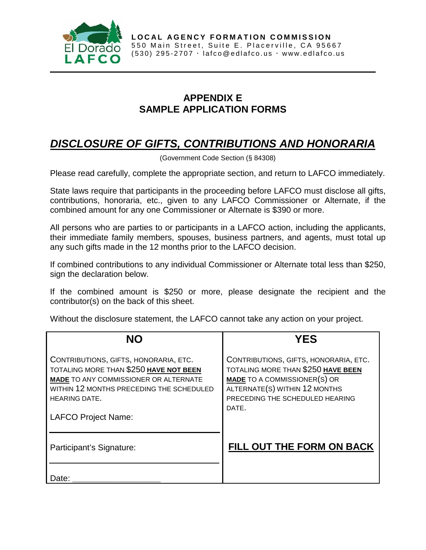

## **APPENDIX E SAMPLE APPLICATION FORMS**

# *DISCLOSURE OF GIFTS, CONTRIBUTIONS AND HONORARIA*

(Government Code Section (§ 84308)

Please read carefully, complete the appropriate section, and return to LAFCO immediately.

State laws require that participants in the proceeding before LAFCO must disclose all gifts, contributions, honoraria, etc., given to any LAFCO Commissioner or Alternate, if the combined amount for any one Commissioner or Alternate is \$390 or more.

All persons who are parties to or participants in a LAFCO action, including the applicants, their immediate family members, spouses, business partners, and agents, must total up any such gifts made in the 12 months prior to the LAFCO decision.

If combined contributions to any individual Commissioner or Alternate total less than \$250, sign the declaration below.

If the combined amount is \$250 or more, please designate the recipient and the contributor(s) on the back of this sheet.

Without the disclosure statement, the LAFCO cannot take any action on your project.

| NΩ                                                                                                                                                                                                                                | YES                                                                                                                                                                                             |
|-----------------------------------------------------------------------------------------------------------------------------------------------------------------------------------------------------------------------------------|-------------------------------------------------------------------------------------------------------------------------------------------------------------------------------------------------|
| CONTRIBUTIONS, GIFTS, HONORARIA, ETC.<br>TOTALING MORE THAN \$250 HAVE NOT BEEN<br><b>MADE TO ANY COMMISSIONER OR ALTERNATE</b><br>WITHIN 12 MONTHS PRECEDING THE SCHEDULED<br><b>HEARING DATE.</b><br><b>LAFCO Project Name:</b> | CONTRIBUTIONS, GIFTS, HONORARIA, ETC.<br>TOTALING MORE THAN \$250 HAVE BEEN<br><b>MADE TO A COMMISSIONER(S) OR</b><br>ALTERNATE(S) WITHIN 12 MONTHS<br>PRECEDING THE SCHEDULED HEARING<br>DATE. |
| Participant's Signature:                                                                                                                                                                                                          | <b>FILL OUT THE FORM ON BACK</b>                                                                                                                                                                |
| Date:                                                                                                                                                                                                                             |                                                                                                                                                                                                 |